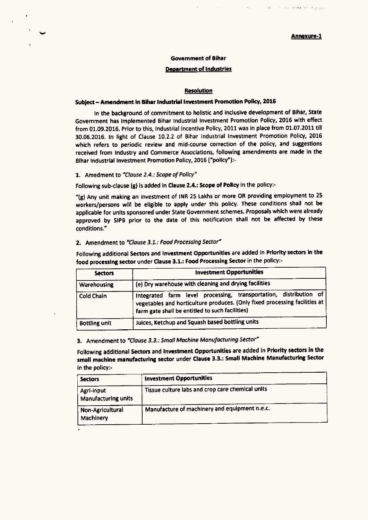### Govemment of Bihar

#### Department of Industries

#### Resolution

# Subject - Amendment in Bihar Industrial Investment Promotion Policy, 2016

In the background of commitment to holistic and Inclusive development of Bihar, State Government has Implemented Bihar Industrial Investment Promotion Policy, 2016 with effect from 01.09.2016. Prior to this, Industrial Incentive Policy, 2011 was in place from 01.07.2011 till 30.06.2016. In light of Clause 10.2.2 of Bihar Industrial Investment Promotion Policy, 2016 which refers to periodic review and mid-course correction of the policy, and suggestions received from Industry and Commerce Associations, following amendments are made in the Bihar Industrial Investment Promotion Policy, 2016 ("policy"):-

#### 1. Amedment to *'Clause* 2.4.: *Scopeof Policy·*

Following sub-clause (g) is added in Clause 2.4.: Scope of Policy in the policy:-

"(g) Any unit making an investment of INR 25 Lakhs or more OR providing employment to 25 workers/persons will be eligible to apply under this policy. These conditions shall not be applicable for units sponsored under State Government schemes. Proposals which were already approved by SIPB prior to the date of this notification shall not be affected by these conditions."

#### Z. Amendment to *"Clause*3.1.: *FoodProcessingSector"*

Following additional Sectors and Investment Opportunities are added in Priority sectors in the food processing sector under Clause 3.1.: Food Processing Sector in the policy:-

| <b>Sectors</b>       | <b>Investment Opportunities</b><br>(e) Dry warehouse with cleaning and drying facilities                                                                                                             |  |
|----------------------|------------------------------------------------------------------------------------------------------------------------------------------------------------------------------------------------------|--|
| Warehousing          |                                                                                                                                                                                                      |  |
| Cold Chain           | Integrated farm level processing, transportation, distribution of<br>vegetables and horticulture produces. (Only fixed processing facilities at  <br>farm gate shall be entitled to such facilities) |  |
| <b>Bottling unit</b> | Juices, Ketchup and Squash based bottling units                                                                                                                                                      |  |

# 3. Amendment to *·Clause*3.3.: *Small Machine Manufacturing Sector"*

Following additional Sectors and Investment Opportunities are added in Priority sectors in the small machine manufacturing sector under Clause 3.3.: Small Machine Manufacturing Sector in the policy:-

| <b>Sectors</b>                                  | <b>Investment Opportunities</b>                  |  |
|-------------------------------------------------|--------------------------------------------------|--|
| <b>Agri-input</b><br><b>Manufacturing units</b> | Tissue culture labs and crop care chemical units |  |
| Non-Agricultural<br>Machinery                   | Manufacture of machinery and equipment n.e.c.    |  |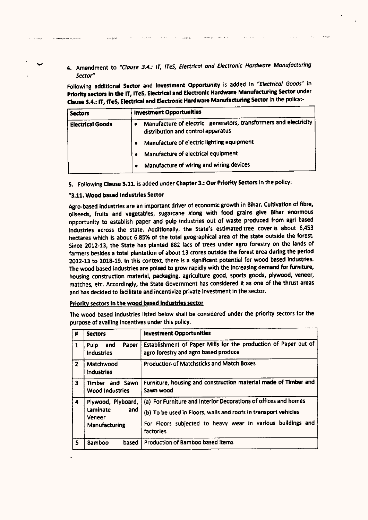4. Amendment to *·Clause* 3.4.: *IT, ITeS, Electrical and ElectronIc Hardware Manufacturing Sector"*

Following additional Sector and Investment Opportunity is added In *"Electrical Goods·* in Priority sectors in the IT, ITeS, Electrical and Electronic Hardware Manufacturing Sector under Clause 3.4.: IT, ITeS, Electrical and Electronic Hardware Manufacturing Sector in the policy:-

| <b>Sectors</b>          | <b>Investment Opportunities</b>                                                                        |
|-------------------------|--------------------------------------------------------------------------------------------------------|
| <b>Electrical Goods</b> | Manufacture of electric generators, transformers and electricity<br>distribution and control apparatus |
|                         | Manufacture of electric lighting equipment                                                             |
|                         | Manufacture of electrical equipment                                                                    |
|                         | Manufacture of wiring and wiring devices<br>٠                                                          |

5. Following Clause 3.11. is added under Chapter 3.: Our Priority Sectors in the policy:

### "3.11. Wood based Industries Sector

Agro-based industries are an important driver of economic growth in Bihar. Cultivation of fibre, oilseeds, fruits and vegetables, sugarcane along with food grains give Bihar enormous opportunity to establish paper and pulp industries out of waste produced from agrl based industries across the state. Additionally, the State's estimated tree cover is about 6,453 hectares which is about 6.85% of the total geographical area of the state outside the forest. Since 2012·13, the State has pianted 882 lacs of trees under agro forestry on the lands of farmers besides a total plantation of about 13 crores outside the forest area during the period 2012.13 to 2018.19. In this context, there is a significant potential for wood based industries. The wood based industries are poised to grow rapidly with the increasing demand for furniture, housing construction material, packaging, agriculture good, sports goods, plywood, veneer, matches, etc. Accordingly, the State Government has considered it as one of the thrust areas and has decided to facilitate and incentivize private investment in the sector.

### Priorttv sectors In the wood based Industries sector

The wood based industries listed below shall be considered under the priority sectors for the purpose of availing incentives under this policy.

| #                       | <b>Sectors</b>                                                   | <b>Investment Opportunities</b>                                                                                                                                                                                |
|-------------------------|------------------------------------------------------------------|----------------------------------------------------------------------------------------------------------------------------------------------------------------------------------------------------------------|
| $\mathbf{1}$            | Paper<br><b>Pulp</b><br>and<br><b>Industries</b>                 | Establishment of Paper Mills for the production of Paper out of<br>agro forestry and agro based produce                                                                                                        |
| $\overline{2}$          | Matchwood<br><b>Industries</b>                                   | Production of Matchsticks and Match Boxes                                                                                                                                                                      |
| $\overline{\mathbf{3}}$ | Timber and Sawn<br><b>Wood Industries</b>                        | Furniture, housing and construction material made of Timber and<br>Sawn wood                                                                                                                                   |
| 4                       | Plywood, Plyboard,<br>Laminate<br>and<br>Veneer<br>Manufacturing | (a) For Furniture and Interior Decorations of offices and homes<br>(b) To be used in Floors, walls and roofs in transport vehicles<br>For Floors subjected to heavy wear in various buildings and<br>factories |
| 5                       | <b>Bamboo</b><br>based                                           | Production of Bamboo based items                                                                                                                                                                               |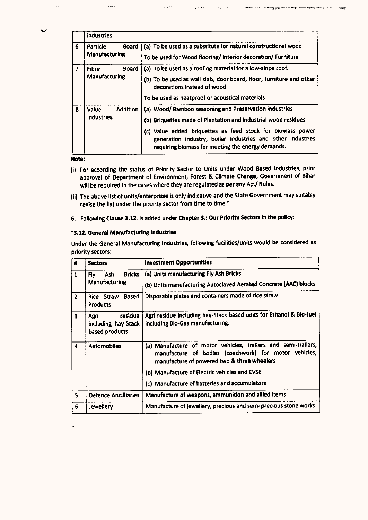|   | industries                                    |                                                                                                                                                                                                                                                                                                           |
|---|-----------------------------------------------|-----------------------------------------------------------------------------------------------------------------------------------------------------------------------------------------------------------------------------------------------------------------------------------------------------------|
| 6 | Board i<br>Particle<br>Manufacturing          | (a) To be used as a substitute for natural constructional wood<br>To be used for Wood flooring/ Interior decoration/ Furniture                                                                                                                                                                            |
| 7 | <b>Fibre</b><br><b>Board</b><br>Manufacturing | (a) To be used as a roofing material for a low-slope roof.<br>(b) To be used as wall slab, door board, floor, furniture and other<br>decorations instead of wood                                                                                                                                          |
|   |                                               | To be used as heatproof or acoustical materials                                                                                                                                                                                                                                                           |
| 8 | <b>Addition</b><br>Value<br><b>Industries</b> | (a) Wood/Bamboo seasoning and Preservation industries<br>(b) Briquettes made of Plantation and industrial wood residues<br>(c) Value added briquettes as feed stock for biomass power<br>generation industry, boiler industries and other industries<br>requiring biomass for meeting the energy demands. |

।<br>अ⊙ाह≈क⊈

 $\mathbf{x}$  groups  $\mathbf{x}_i$ 

。<br>- 社会観光サーバー・コミュライヤ学校の開発の開催の開発機構を<mark>になります。アドルの</mark>の場合の現在最後<sub>国</sub>国際機関は、コントライト・コントの開催機関

ومهيب

 $\tau_{\rm{m}}$  or

Note:

- (i) For according the status of Priority Sector to Units under Wood Based industries, prior approval of Department of Environment, Forest & Climate Change, Government of Bihar will be required in the cases where they are regulated as per any Act/ Rules.
- (U) The above list of units/enterprises is only indicative and the State Government may suitably revise the list under the priority sector from time to time:
- 6. Following Clause 3.12. Is added under Chapter 3.: Our Priority Sectors in the policy:

## "3.12. General Manufacturing Industries

Under the General Manufacturing Industries, following facilities/units would be considered as priority sectors:

| #              | <b>Sectors</b>                                            | <b>Investment Opportunities</b>                                                                                                                                                                                         |
|----------------|-----------------------------------------------------------|-------------------------------------------------------------------------------------------------------------------------------------------------------------------------------------------------------------------------|
| 1              | Bricks<br>Ash.<br>Fly:<br>Manufacturing                   | (a) Units manufacturing Fly Ash Bricks<br>(b) Units manufacturing Autoclaved Aerated Concrete (AAC) blocks                                                                                                              |
| $\overline{2}$ | Rice Straw Based<br><b>Products</b>                       | Disposable plates and containers made of rice straw                                                                                                                                                                     |
| 3              | residue<br>Aeri<br>including hay-Stack<br>based products. | Agri residue including hay-Stack based units for Ethanol & Bio-fuel<br>including Bio-Gas manufacturing.                                                                                                                 |
| 4              | <b>Automobiles</b>                                        | (a) Manufacture of motor vehicles, trailers and semi-trailers,<br>manufacture of bodies (coachwork) for motor vehicles;<br>manufacture of powered two & three wheelers<br>(b) Manufacture of Electric vehicles and EVSE |
|                |                                                           | (c) Manufacture of batteries and accumulators                                                                                                                                                                           |
| $\mathsf{s}$   | <b>Defence Ancilliaries</b>                               | Manufacture of weapons, ammunition and allied items                                                                                                                                                                     |
| 6              | Jewellery                                                 | Manufacture of jewellery, precious and semi precious stone works                                                                                                                                                        |

 $\sqrt{28.5}$  or line  $\omega = \sqrt{3} \pm \sqrt{2}$ 

**Compressor**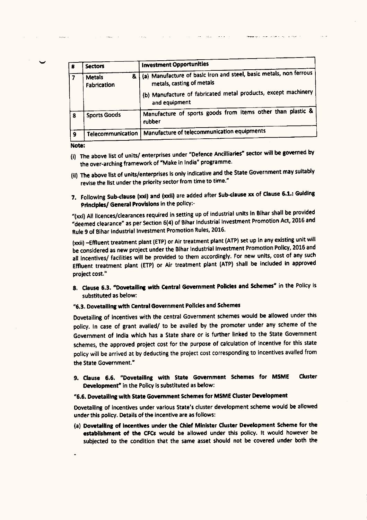| # | <b>Sectors</b>                    | <b>Investment Opportunities</b>                                                                 |
|---|-----------------------------------|-------------------------------------------------------------------------------------------------|
| 7 | &<br><b>Metals</b><br>Fabrication | (a) Manufacture of basic iron and steel, basic metals, non ferrous<br>metals, casting of metals |
|   |                                   | (b) Manufacture of fabricated metal products, except machinery<br>and equipment                 |
| 8 | <b>Sports Goods</b>               | Manufacture of sports goods from items other than plastic &<br>rubber                           |
| ۹ | Telecommunication                 | Manufacture of telecommunication equipments                                                     |

**Programmer and analysis of the Contract Contract Contract Contract Contract Contract Contract Contract Contract** 

Note:

- (i) The above list of units/ enterprises under "Defence Ancilliaries" sector will be governed by the over-arching framework of "Make in India" programme.
- (II) The above list of units/enterprises is only indicative and the State Government may suitably revise the list under the priority sector from time to time:
- 7. Following Sub-clause (xxi) and (xxII) are added after Sub-clause xx of Clause 6.1.: Guiding Principles/ General Provisions in the policy:-

"(xxi) All licences/clearances required in setting up of industrial units in Bihar shall be provided "deemed clearance" as per Section 6(4) of Bihar Industrial Investment Promotion Act, 2016 and Rule 9 of Bihar Industrial Investment Promotion Rules,2016.

(xxii) -Effluent treatment plant (ETP) or Air treatment plant (ATP) set up in any existing unit will be considered as new project under the Bihar Industrial Investment Promotion Policy, 2016 and all incentives/ facilities will be provided to them accordingly. For new units, cost of any such Effluent treatment plant (ETP) or Air treatment plant (ATP) shall be included in approved project cost."

8. Clause 6.3. "Dovetailing with Central Government Policies and Schemes" in the Policy is substituted as below:

# "6.3. Dovetailing with Central Government Policies and Schemes

Dovetailing of incentives with the central Government schemes would be allowed under this policy. In case of grant availed/ to be availed by the promoter under any scheme of the Government of India which has a State share or is further linked to the State Government schemes, the approved project cost for the purpose of calculation of incentive for this state policy will be arrived at by deducting the project cost corresponding to incentives availed from the State Government:

9. Clause 6.6. "Dovetailing with State Government Schemes for MSME Cluster Development" in the Policy is substituted as below:

## "6.6. Dovetailing with State Govemment Schemesfor MSME Cluster Development

Dovetailing of Incentives under various State's cluster development scheme would be allowed under this policy. Details of the incentive are as follows:

(a) Dovetailing of Incentives under the Chief Minister Cluster Development Scheme for the establishment of the CFCs would be allowed under this policy. It would however be subjected to the condition that the same asset should not be covered under both the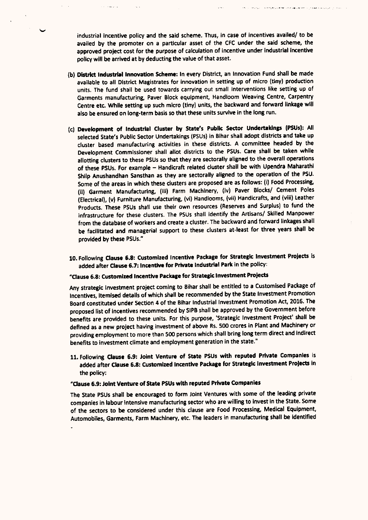industrial Incentive policy and the said scheme. Thus, in case of incentives availed/ to be availed by the promoter on a particular asset of the CFC under the said scheme, the approved project cost for the purpose of calculation of incentive under industrial Incentive policy will be arrived at by deducting the value of that asset.

- (b) District Industrial Innovation Scheme: In every District, an Innovation Fund shall be made available to all District Magistrates for innovation in setting up of micro (tiny) production units. The fund shall be used towards carrying out small interventions like setting up of Garments manufacturing, Paver Block equipment, Handloom Weaving Centre, Carpentry Centre etc. While setting up such micro (tiny) units, the backward and forward linkage will also be ensured on long-term basis so that these units survive in the long run.
- (c) Development of Industrial Cluster by State's Public Sector Undertakings (PSUsl: All selected State's Public Sector Undertakings (PSUs) in Bihar shall adopt districts and take up cluster based manufacturing activities in these districts. A committee headed by the Development Commissioner shall allot districts to the PSUs. care shall be taken while allotting clusters to these PSUs so that they are sectorally aligned to the overall operations of these PSUs. For example - Handicraft related cluster shall be with Upendra Maharathi Shilp Anushandhan Sansthan as they are sectorally aligned to the operation of the PSU. Some of the areas in which these clusters are proposed are as follows: (i) Food Processing, (II) Garment Manufacturing, (iii) Farm Machinery, (Iv) Paver Blocks/ Cement Poles (Electrical), (v) Furniture Manufacturing, (vi) Handlooms, (vii) Handicrafts, and (viii) Leather Products. These PSUs shall use their own resources (Reserves and Surplus) to fund the Infrastructure for these clusters. The PSUs shall identify the Artisans/ Skilled Manpower from the database of workers and create a cluster. The backward and forward linkages shall be facilitated and managerial support to these clusters at-least for three years shall be provided by these PSUs."
- 10. Following Clause 6.8: Customized Incentive Package for Strategic Investment Projects is added after Clause 6.7: Incentive for Private Industrial Park in the policy:

# "Clause 6.8: Customized Incentive Package for Strategic Investment Projects

Any strategic Investment project coming to Bihar shall be entitled to a Customised Package of Incentives, itemised details of which shall be recommended by the State Investment Promotion Board constituted under Section 4 of the Bihar Industrial Investment Promotion Act, 2016. The proposed list of incentives recommended by SIPB shall be approved by the Government before benefits are provided to these units. For this purpose, 'Strategic Investment Project' shall be defined as a new project having investment of above Rs. 500 crores in Plant and Machinery or providing employment to more than 500 persons which shall bring long term direct and Indirect benefits to investment climate and employment generation in the state."

11. Following Clause 6.9: Joint Venture of State PSUs with reputed Private Companies is added after Clause 6.8: CUstomized Incentive Package for Strategic Investment Projects In the policy:

## "Clause 6.9: Joint Venture of State PSUswith reputed Private Companies

The State PSUs shall be encouraged to form Joint Ventures with some of the leading private companies in labour intensive manufacturing sector who are willing to invest in the State. Some of the sectors to be considered under this clause are Food Processing, Medical Equipment, Automobiles, Garments, Farm Machinery, etc. The leaders in manufacturing shall be identified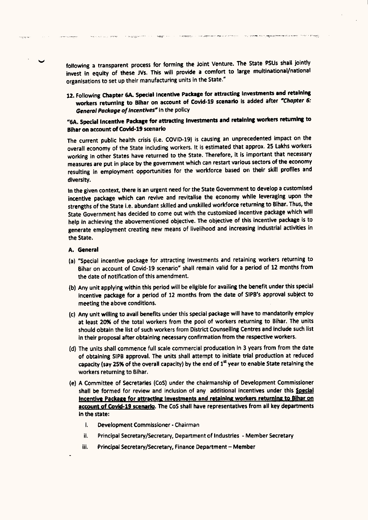following a transparent process for forming the Joint Venture. The State PSUs shall jointly invest in equity of these JVs. This will provide a comfort to large multinational/national organisations to set up their manufacturing units in the State."

12. Following Chapter 6A. Special Incentive Package for attracting Investments and retaining workers returning to Bihar on account of Covid-19 scenario is added after "Chapter 6: *General* Podoge*of Incentives"* In the policy

# .6A. Special Incentive Package for attracting Investments and retaining workers returning to Bihar on account of Covld-19 scenario

The current public health crisis (i.e. COVID-19) is causing an unprecedented impact on the overall economy of the State including workers. It is estimated that approx. 25 Lakhs workers working in other States have returned to the State. Therefore, it Is important that necessary measures are put in place by the government which can restart various sectors of the economy resulting in employment opportunities for the workforce based on their skill profiles and diversity.

In the given context, there is an urgent need for the State Government to develop a customised incentive package which can revive and revitalise the economy while leveraging upon the strengths of the State I.e. abundant skilled and unskilled workforce returning to Bihar. Thus, the State Government has decided to come out with the customized incentive package which will help in achieving the abovementioned objective. The objective of this incentive package is to generate employment creating new means of livelihood and increasing industrial activities in the State.

- A. General
- (a) "Special incentive package for attracting Investments and retaining workers returning to Bihar on account of Covid·19 scenario' shall remain valid for a period of 12 months from the date of notification of this amendment.
- (b) Any unit applying within this period will be eligible for availing the benefit under this special Incentive package for a period of 12 months from the date of SIPB's approval subject to meeting the above conditions.
- (c) Any unit willing to avail benefits under this special package will have to mandatorily employ at least 20% of the total workers from the pool of workers returning to Bihar. The units should obtain the list of such workers from District Counselling Centres and Include such list In their proposal after obtaining necessaryconfirmation from the respective workers.
- (d) The units shall commence full scale commercial producation In 3 years from from the date of obtaining SIPB approval. The units shall attempt to initiate trial production at reduced capacity (say 25% of the overall capacity) by the end of  $1<sup>st</sup>$  year to enable State retaining the workers returning to Bihar.
- (e) A Committee of Secretaries (CoS) under the chairmanship of Development Commissioner shall be formed for review and inclusion of any additional incentives under this Special Incentive Package for attracting Investments and retaining workers returning to Bihar on account of Covid-19 scenario. The CoS shall have representatives from all key departments In the state:
	- i. Development Commissioner Chairman
	- il. Principal Secretary/Secretary, Department of Industries Member Secretary
	- iii. Principal Secretary/Secretary, Finance Department Member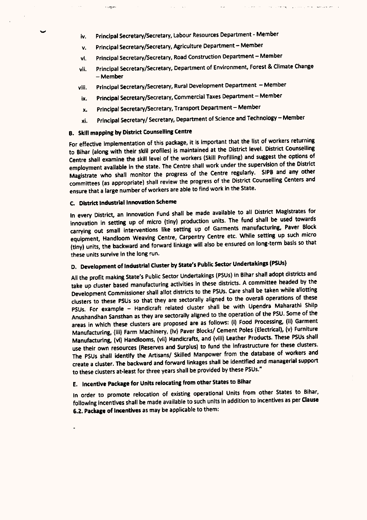- iv. Principal Secretary/Secretary, Labour Resources Department Member
- v. Principal Secretary/Secretary, Agriculture Department Member
- vi. Principal Secretary/Secretary, Road Construction Department Member
- vii. Principal Secretary/Secretary, Department of Environment, Forest & Climate Change -Member
- viii. Principal Secretary/Secretary, Rural Development Department Member
- ix. Principal Secretary/Secretary, Commercial Taxes Department Member
- x. Principal Secretary/Secretary, Transport Department Member
- xi. Principal Secretary/ Secretary, Department of Science and Technology Member

# B. Skill mapping by District Counselling Centre

**Support** 

For effective implementation of this package, it is important that the list of workers returning to Bihar (along with their skill profiles) is maintained at the District level. District Counselling Centre shall examine the skill level of the workers (Skill Profilling) and suggest the options of employment available In the state. The Centre shall work under the supervision of the District Magistrate who shall monitor the progress of the Centre regularly. SIPB and any other committees (as appropriate) shall review the progress of the District Counselling Centers and ensure that a large number of workers are able to find work in the State.

#### c. District Industrlallnnovatlon Scheme

In every District, an Innovation Fund shall be made available to all District Magistrates for innovation in setting up of micro (tiny) production units. The fund shall be used towards carrying out small interventions like setting up of Garments manufacturing. Paver Block equipment, Handloom Weaving Centre, Carpentry Centre etc. While setting up such micro (tiny) units, the backward and forward linkage will also be ensured on long-term basis so that these units survive in the long run.

# D. Development of Industrial Cluster by State's Public Sector Undertakings (PSUs)

Ail the profit making State's Public Sector Undertakings (PSUs)in Bihar shall adopt districts and take up cluster based manufacturing activities In these districts. A committee headed by the Development Commissioner shall allot districts to the PSUs.Care shall be taken while allotting clusters to these PSUs 50 that they are sectorally aligned to the overall operations of these PSUs. For example - Handicraft related cluster shall be with Upendra Maharathl Shilp Anushandhan Sansthan as they are sectorally aligned to the operation of the PSU.Some of the areas in which these clusters are proposed are as follows: (i) Food Processing, (ii) Garment Manufacturing, (iii) Farm Machinery, (Iv) Paver Blocks/ Cement Poles (Electrical), (v) Furniture Manufacturing, (vi) Handlooms, (vii) Handicrafts, and (viii) Leather Products. These PSUs shall use their own resources (Reserves and Surplus) to fund the infrastructure for these clusters. The PSUs shall identify the Artisans/ Skilled Manpower from the database of workers and create a cluster. The backward and forward linkages shall be identified and managerial support to these clusters at-least for three years shall be provided by these PSUs."

# E. Incentive Package for Units relocating from other States to Bihar

In order to promote relocation of existing operational Units from other States to Bihar, following Incentives shall be made available to such units in addition to incentives as per Clause 6.2. Package of Incentives as may be applicable to them: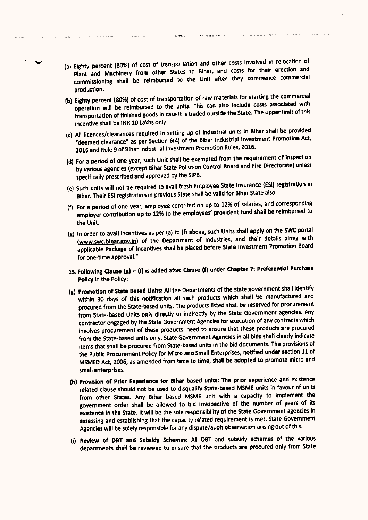(a) Eighty percent (80%) of cost of transportation and other costs Involved in relocation of Plant and Machinery from other States to Bihar, and costs for their erection and commissioning shall be reimbursed to the Unit after they commence commercial production.

**Constitution** in the constitution of the

**Committee the concepts** 

- (b) Eighty percent (80%) of cost of transportation of raw materials for starting the commercial operation will be reimbursed to the units. This can also Include costs associated with transportation of finished goods in case it is traded outside the State. The upper limit of this incentive shall be INR 10 Lakhs only.
- (c) All licences/clearances required in setting up of industrial units in Bihar shall be provided "deemed clearance" as per Section 6(4) of the Bihar Industrial Investment Promotion Act, 2016 and Rule 9 of Bihar Industrial Investment Promotion Rules, 2016.
- (d) For a period of one year, such Unit shall be exempted from the requirement of Inspection by various agencies (except Bihar State Pollution Control Board and Fire Directorate) unless specifically prescribed and approved by the SIPB.
- (e) Such units will not be required to avail fresh Employee State Insurance (ESI) registration in Bihar. Their ESI registration in previous State shall be valid for Bihar State also.
- (f) For a period of one year, employee contribution up to 12% of salaries, and corresponding employer contribution up to 12% to the employees' provident fund shall be reimbursed to the Unit.
- (g) In order to avail incentives as per (a) to (f) above, such Units shall apply on the SWC portal (www.swc.blhar.gov.in) of the Department of Industries, and their details along with applicable Package of Incentives shall be placed before State Investment Promotion Board for one-time approval."
- 13. Following Clause  $(g) \{i\}$  is added after Clause (f) under Chapter 7: Preferential Purchase Policy in the Policy:
- (g) Promotion of State Based Units: All the Departments of the state government shall identify within 30 days of this notification all such products which shall be manufactured and procured from the State-based units. The products listed shall be reserved for procurement from State-based Units only directly or indirectly by the State Government agencies. Any contractor engaged by the State Government Agencies for execution of any contracts which involves procurement of these products, need to ensure that these products are procured from the State-based units only. State Government Agencies in all bids shall clearly indicate Items that shall be procured from State-based units In the bid documents. The provisions of the Public Procurement Policy for Micro and Small Enterprises, notified under section 11 of MSMED Act, 2006, as amended from time to time, shall be adopted to promote micro and small enterprises.
- (h) Provision of Prior Experience for Bihar based units: The prior experience and existence related clause should not be used to disqualify State-based MSME units in favour of units from other States. Any Bihar based MSME unit with a capacity to implement the government order shall be allowed to bid Irrespective of the number of years of its existence in the State. It will be the sole responsibility of the State Government agencies in assessing and establishing that the capacity related requirement is met. State Government Agencies will be solely responsible for any dispute/audit observation arising out of this.
- (i) Review of DBT and Subsidy Schemes: All DBT and subsidy schemes of the various departments shall be reviewed to ensure that the products are procured only from State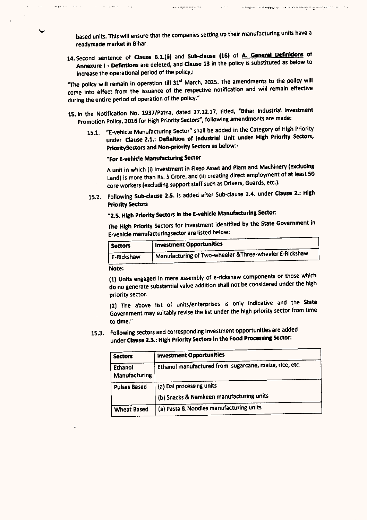based units. This will ensure that the companies setting up their manufacturing units have a readymade market In Bihar.

**CONTROLLATION** 

.<br>The School control of the School of The Technical School in the School School of Technical School Control of T

14. Second sentence of Clause 6.1.(ii) and Sub-clause (16) of A. General Definitions of Annexure I - Defintions are deleted, and Clause 13 in the policy is substituted as below to Increase the operational period of the policy,:

"The policy will remain in operation till 31<sup>st</sup> March, 2025. The amendments to the policy will come Into effect from the issuance of the respective notification and will remain effective during the entire period of operation of the policy."

- 15. In the Notification No. 1937/Patna, dated 27.12.17, titled, "Bihar Industrial Investment Promotion Policy, 2016 for High Priority Sectors", following amendments are made:
	- 15.1. "E-vehlcle Manufacturing Sector" shall be added In the Category of High Priority under Clause 2.1.: Definition of Industrial Unit under High Priority Sectors, PrioritySectors and Non-priority Sectors as below:-

# "For E-vehlcle Manufacturing Sector

A unit in which (i) Investment in Fixed Asset and Plant and Machinery (excluding Land) is more than Rs. 5 Crore, and (ii) creating direct employment of at least 50 core workers (excluding support staff such as Drivers, Guards, etc.).

15.2. Following Sub-clause 2.S. is added after Sub-clause 2.4. under Clause 2.: High Priority Sectors

# "2.S. High Priority Sectors In the E-vehlcle Manufacturing Sector:

The High Priority Sectors for investment identified by the State Government in E-vehide manufacturingsector are listed below:

| Sectors    | Investment Opportunities                                  |
|------------|-----------------------------------------------------------|
| E-Rickshaw | I Manufacturing of Two-wheeler & Three-wheeler E-Rickshaw |
|            |                                                           |

Note:

(1) Units engaged In mere assembly of e-rlckshaw components or those which do no generate substantial value addition shall not be considered under the high priority sector.

(2) The above list of units/enterprises is only indicative and the State Government may suitably revise the list under the high priority sector from time to time."

15.3. Following sectors and corresponding investment opportunities are added under Clause 2.3.: High Priority Sectors In the Food Processing Sector:

| <b>Sectors</b>           | <b>Investment Opportunities</b>                        |
|--------------------------|--------------------------------------------------------|
| Ethanol<br>Manufacturing | Ethanol manufactured from sugarcane, maize, rice, etc. |
| <b>Pulses Based</b>      | (a) Dal processing units                               |
|                          | (b) Snacks & Namkeen manufacturing units               |
| <b>Wheat Based</b>       | (a) Pasta & Noodles manufacturing units                |
|                          |                                                        |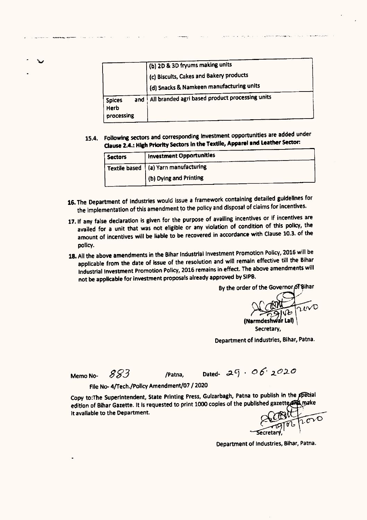|                                            | (b) 2D & 3D fryums making units                    |
|--------------------------------------------|----------------------------------------------------|
|                                            | (c) Biscuits, Cakes and Bakery products            |
|                                            | $\hat{a}$ (d) Snacks & Namkeen manufacturing units |
| and<br><b>Spices</b><br>Herb<br>processing | All branded agri based product processing units    |

15.4. Following sectors and corresponding Investment opportunities are added under **Clause** 2.4.: **High Priority** SedOrs In**the Textile, Apparel Ind Leather** SedOr:

| <b>Sectors</b> | <b>Investment Opportunities</b>        |
|----------------|----------------------------------------|
|                | Textile based   (a) Yarn manufacturing |
|                | (b) Dying and Printing                 |
|                |                                        |

- 16. The Department of Industries would issue a framework containing detailed guidelines for the implementation of this amendment to the policy and disposal of claims for Incentives.
- 17. If any false declaration is given for the purpose of availing incentives or if incentives are availed for a unit that was not eligible or any violation of condition of this policy, the amount of incentives will be liable to be recovered in accordance with Clause 10.3. of the policy.
- 18. All the above amendments in the Bihar Industrial Investment Promotion Policy, 2016 will be applicable from the date of issue of the resolution and will remain effective till the Bihar Industrial Investment Promotion Policy, 2016 remains in effect. The above amendments will not be applicable for Investment proposals already approved by SIPB.

By the order of the Governor of Bihar<br>  $\bigcirc$ Secretary.

.<br>Lista en la reconocidad de la

Oepartment of Industries, Bihar, Patna.

Memo No-  $883$  /Patna, Dated-  $29.06$ ,  $2020$ 

File No- 4/Tech./Policy Amendment/07 / 2020

Copy to:The Superintendent, State Printing Press, Gulzarbagh, Patna to publish in the ppecial edition of Bihar Gazette. It is requested to print 1000 copies of the published gazette make<br>it available to the Department. It available to the Department.

Oepartment of Industries, Bihar, Patna.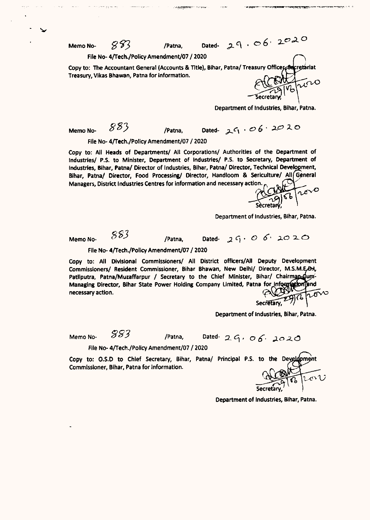File No-4/Tech./Policy Amendment/07 / 2020

.,~.-~

Copy to: The Accountant General (Accounts & Title), Bihar, Patna/ Treasury Officer Treasury, Vikas Bhawan, Patna for information. rlat

Memo No-  $883$  /Patna, Dated-  $29.06$ ,  $2020$ 

Department of Industries, Bihar, Patna.

Memo No-  $883$  /Patna, Dated-  $25.006 \cdot 20.20$ 

File No-4/Tech./Policy Amendment/07 / 2020

Copy to: All Heads of Departments/ All Corporatlons/ Authorities of the Department of Industries/ P,S, to Minister, Department of Industries/ P,S. to Secretary, Department of Industries, Bihar, Patna/ Director of Industries, Bihar, Patna/ Director, Technical Develogment, Bihar, Patna/ Director, Food Processing/ Director, Handloom & Sericulture/ All General Managers, District Industries Centres for information and necessary action.

Department of Industries, Bihar, Patna.

Memo No-  $883$  /Patna, Dated-  $29.0$   $6.2020$ File No-4/Tech./Policy Amendment/07 / 2020

Copy to: All Divisional Commissioners/ All District officers/All Deputy Development Commissioners/ Resident Commissioner, Bihar Bhawan, New Delhi/ Director, M.S.M.E.O.I. Patliputra, Patna/Muzaffarpur / Secretary to the Chief Minister, Bihar/ Chairman-dum-Managing Director, Bihar State Power Holding Company Limited, Patna for information and necessary action.

Secretary, 2976 ports

Department of Industries, Bihar, Patna.

Memo No-  $983$  /Patna, Dated-  $2.9.06$ ,  $2020$ 

File No-4/Tech./Policy Amendment/07 / 2020

Copy to: 0.5.0 to Chief Secretary, Bihar, *Patnal* Principal P.S. to the Commissioner, Bihar, Patna for information.

えいび

Department of Industries, Bihar, Patna.